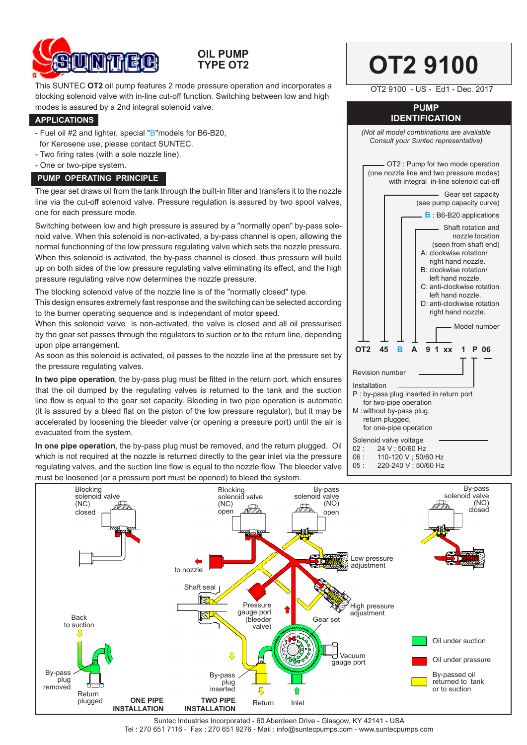

## **OIL PUMP TYPE OT2**

This SUNTEC **OT2** oil pump features 2 mode pressure operation and incorporates a blocking solenoid valve with in-line cut-off function. Switching between low and high modes is assured by a 2nd integral solenoid valve.

#### **APPLICATIONS**

- Fuel oil #2 and lighter, special "B"models for B6-B20, for Kerosene use, please contact SUNTEC.
- Two firing rates (with a sole nozzle line).
- One or two-pipe system.

## **PUMP OPERATING PRINCIPLE**

The gear set draws oil from the tank through the built-in filter and transfers it to the nozzle line via the cut-off solenoid valve. Pressure regulation is assured by two spool valves, one for each pressure mode.

Switching between low and high pressure is assured by a "normally open" by-pass solenoid valve. When this solenoid is non-activated, a by-pass channel is open, allowing the normal functionning of the low pressure regulating valve which sets the nozzle pressure. When this solenoid is activated, the by-pass channel is closed, thus pressure will build up on both sides of the low pressure regulating valve eliminating its effect, and the high pressure regulating valve now determines the nozzle pressure.

The blocking solenoid valve of the nozzle line is of the "normally closed" type.

This design ensures extremely fast response and the switching can be selected according to the burner operating sequence and is independant of motor speed.

When this solenoid valve is non-activated, the valve is closed and all oil pressurised by the gear set passes through the regulators to suction or to the return line, depending upon pipe arrangement.

As soon as this solenoid is activated, oil passes to the nozzle line at the pressure set by the pressure regulating valves.

**In two pipe operation**, the by-pass plug must be fitted in the return port, which ensures that the oil dumped by the regulating valves is returned to the tank and the suction line flow is equal to the gear set capacity. Bleeding in two pipe operation is automatic (it is assured by a bleed flat on the piston of the low pressure regulator), but it may be accelerated by loosening the bleeder valve (or opening a pressure port) until the air is evacuated from the system.

**In one pipe operation**, the by-pass plug must be removed, and the return plugged. Oil which is not required at the nozzle is returned directly to the gear inlet via the pressure regulating valves, and the suction line flow is equal to the nozzle flow. The bleeder valve must be loosened (or a pressure port must be opened) to bleed the system.



**OT2 9100** 



- 06 : 110-120 V ; 50/60 Hz
- 220-240 V : 50/60 Hz



Suntec Industries Incorporated - 60 Aberdeen Drive - Glasgow, KY 42141 - USA Tel : 270 651 7116 - Fax : 270 651 9276 - Mail : info@suntecpumps.com - www.suntecpumps.com